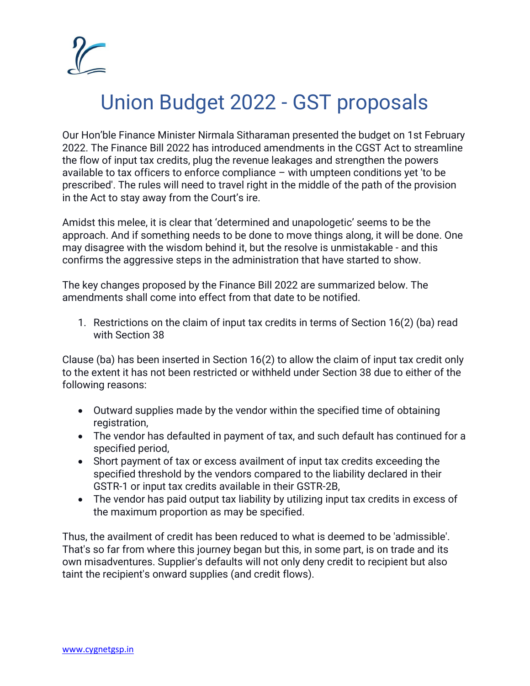

## Union Budget 2022 - GST proposals

Our Hon'ble Finance Minister Nirmala Sitharaman presented the budget on 1st February 2022. The Finance Bill 2022 has introduced amendments in the CGST Act to streamline the flow of input tax credits, plug the revenue leakages and strengthen the powers available to tax officers to enforce compliance – with umpteen conditions yet 'to be prescribed'. The rules will need to travel right in the middle of the path of the provision in the Act to stay away from the Court's ire.

Amidst this melee, it is clear that 'determined and unapologetic' seems to be the approach. And if something needs to be done to move things along, it will be done. One may disagree with the wisdom behind it, but the resolve is unmistakable - and this confirms the aggressive steps in the administration that have started to show.

The key changes proposed by the Finance Bill 2022 are summarized below. The amendments shall come into effect from that date to be notified.

1. Restrictions on the claim of input tax credits in terms of Section 16(2) (ba) read with Section 38

Clause (ba) has been inserted in Section 16(2) to allow the claim of input tax credit only to the extent it has not been restricted or withheld under Section 38 due to either of the following reasons:

- Outward supplies made by the vendor within the specified time of obtaining registration,
- The vendor has defaulted in payment of tax, and such default has continued for a specified period,
- Short payment of tax or excess availment of input tax credits exceeding the specified threshold by the vendors compared to the liability declared in their GSTR-1 or input tax credits available in their GSTR-2B,
- The vendor has paid output tax liability by utilizing input tax credits in excess of the maximum proportion as may be specified.

Thus, the availment of credit has been reduced to what is deemed to be 'admissible'. That's so far from where this journey began but this, in some part, is on trade and its own misadventures. Supplier's defaults will not only deny credit to recipient but also taint the recipient's onward supplies (and credit flows).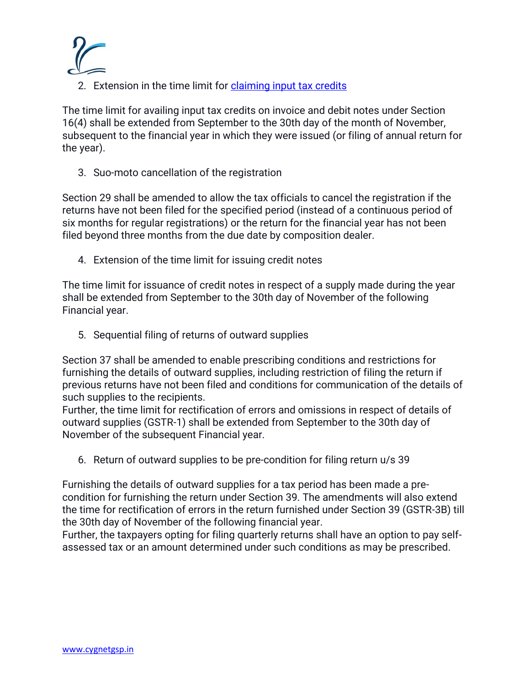

2. Extension in the time limit for [claiming input tax credits](https://www.cygnetgsp.in/digitization-in-accounts-payable-process-and-how-it-will-help-in-itc-claim/)

The time limit for availing input tax credits on invoice and debit notes under Section 16(4) shall be extended from September to the 30th day of the month of November, subsequent to the financial year in which they were issued (or filing of annual return for the year).

3. Suo-moto cancellation of the registration

Section 29 shall be amended to allow the tax officials to cancel the registration if the returns have not been filed for the specified period (instead of a continuous period of six months for regular registrations) or the return for the financial year has not been filed beyond three months from the due date by composition dealer.

4. Extension of the time limit for issuing credit notes

The time limit for issuance of credit notes in respect of a supply made during the year shall be extended from September to the 30th day of November of the following Financial year.

5. Sequential filing of returns of outward supplies

Section 37 shall be amended to enable prescribing conditions and restrictions for furnishing the details of outward supplies, including restriction of filing the return if previous returns have not been filed and conditions for communication of the details of such supplies to the recipients.

Further, the time limit for rectification of errors and omissions in respect of details of outward supplies (GSTR-1) shall be extended from September to the 30th day of November of the subsequent Financial year.

6. Return of outward supplies to be pre-condition for filing return u/s 39

Furnishing the details of outward supplies for a tax period has been made a precondition for furnishing the return under Section 39. The amendments will also extend the time for rectification of errors in the return furnished under Section 39 (GSTR-3B) till the 30th day of November of the following financial year.

Further, the taxpayers opting for filing quarterly returns shall have an option to pay selfassessed tax or an amount determined under such conditions as may be prescribed.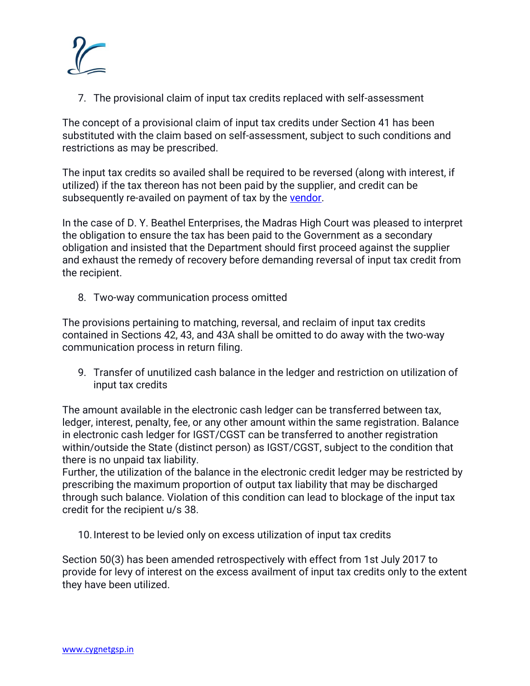

7. The provisional claim of input tax credits replaced with self-assessment

The concept of a provisional claim of input tax credits under Section 41 has been substituted with the claim based on self-assessment, subject to such conditions and restrictions as may be prescribed.

The input tax credits so availed shall be required to be reversed (along with interest, if utilized) if the tax thereon has not been paid by the supplier, and credit can be subsequently re-availed on payment of tax by the [vendor.](https://www.cygnetgsp.in/vendor-payments-not-so-simple-under-gst/)

In the case of D. Y. Beathel Enterprises, the Madras High Court was pleased to interpret the obligation to ensure the tax has been paid to the Government as a secondary obligation and insisted that the Department should first proceed against the supplier and exhaust the remedy of recovery before demanding reversal of input tax credit from the recipient.

8. Two-way communication process omitted

The provisions pertaining to matching, reversal, and reclaim of input tax credits contained in Sections 42, 43, and 43A shall be omitted to do away with the two-way communication process in return filing.

9. Transfer of unutilized cash balance in the ledger and restriction on utilization of input tax credits

The amount available in the electronic cash ledger can be transferred between tax, ledger, interest, penalty, fee, or any other amount within the same registration. Balance in electronic cash ledger for IGST/CGST can be transferred to another registration within/outside the State (distinct person) as IGST/CGST, subject to the condition that there is no unpaid tax liability.

Further, the utilization of the balance in the electronic credit ledger may be restricted by prescribing the maximum proportion of output tax liability that may be discharged through such balance. Violation of this condition can lead to blockage of the input tax credit for the recipient u/s 38.

10.Interest to be levied only on excess utilization of input tax credits

Section 50(3) has been amended retrospectively with effect from 1st July 2017 to provide for levy of interest on the excess availment of input tax credits only to the extent they have been utilized.